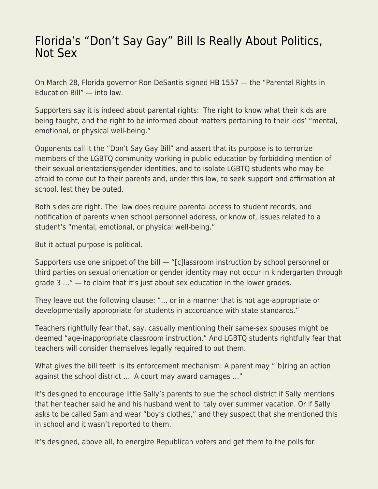## [Florida's "Don't Say Gay" Bill Is Really About Politics,](https://everything-voluntary.com/floridas-dont-say-gay-bill-is-really-about-politics-not-sex) [Not Sex](https://everything-voluntary.com/floridas-dont-say-gay-bill-is-really-about-politics-not-sex)

On March 28, Florida governor Ron DeSantis signed [HB 1557](https://www.flsenate.gov/Session/Bill/2022/1557/BillText/er/PDF) — the "Parental Rights in Education Bill" — into law.

Supporters say it is indeed about parental rights: The right to know what their kids are being taught, and the right to be informed about matters pertaining to their kids' "mental, emotional, or physical well-being."

Opponents call it the "Don't Say Gay Bill" and assert that its purpose is to terrorize members of the LGBTQ community working in public education by forbidding mention of their sexual orientations/gender identities, and to isolate LGBTQ students who may be afraid to come out to their parents and, under this law, to seek support and affirmation at school, lest they be outed.

Both sides are right. The law does require parental access to student records, and notification of parents when school personnel address, or know of, issues related to a student's "mental, emotional, or physical well-being."

But it actual purpose is political.

Supporters use one snippet of the bill — "[c]lassroom instruction by school personnel or third parties on sexual orientation or gender identity may not occur in kindergarten through grade 3 …" — to claim that it's just about sex education in the lower grades.

They leave out the following clause: "… or in a manner that is not age-appropriate or developmentally appropriate for students in accordance with state standards."

Teachers rightfully fear that, say, casually mentioning their same-sex spouses might be deemed "age-inappropriate classroom instruction." And LGBTQ students rightfully fear that teachers will consider themselves legally required to out them.

What gives the bill teeth is its enforcement mechanism: A parent may "[b]ring an action against the school district …. A court may award damages …"

It's designed to encourage little Sally's parents to sue the school district if Sally mentions that her teacher said he and his husband went to Italy over summer vacation. Or if Sally asks to be called Sam and wear "boy's clothes," and they suspect that she mentioned this in school and it wasn't reported to them.

It's designed, above all, to energize Republican voters and get them to the polls for